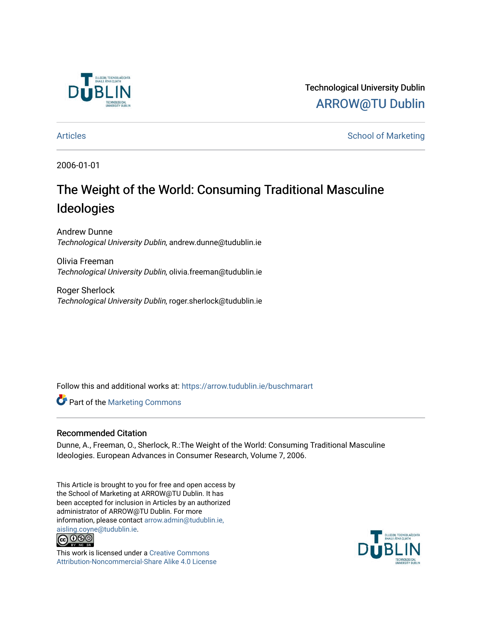

Technological University Dublin [ARROW@TU Dublin](https://arrow.tudublin.ie/) 

[Articles](https://arrow.tudublin.ie/buschmarart) **School of Marketing** 

2006-01-01

# The Weight of the World: Consuming Traditional Masculine Ideologies

Andrew Dunne Technological University Dublin, andrew.dunne@tudublin.ie

Olivia Freeman Technological University Dublin, olivia.freeman@tudublin.ie

Roger Sherlock Technological University Dublin, roger.sherlock@tudublin.ie

Follow this and additional works at: [https://arrow.tudublin.ie/buschmarart](https://arrow.tudublin.ie/buschmarart?utm_source=arrow.tudublin.ie%2Fbuschmarart%2F97&utm_medium=PDF&utm_campaign=PDFCoverPages) 

**Part of the [Marketing Commons](http://network.bepress.com/hgg/discipline/638?utm_source=arrow.tudublin.ie%2Fbuschmarart%2F97&utm_medium=PDF&utm_campaign=PDFCoverPages)** 

## Recommended Citation

Dunne, A., Freeman, O., Sherlock, R.:The Weight of the World: Consuming Traditional Masculine Ideologies. European Advances in Consumer Research, Volume 7, 2006.

This Article is brought to you for free and open access by the School of Marketing at ARROW@TU Dublin. It has been accepted for inclusion in Articles by an authorized administrator of ARROW@TU Dublin. For more information, please contact [arrow.admin@tudublin.ie,](mailto:arrow.admin@tudublin.ie,%20aisling.coyne@tudublin.ie)  [aisling.coyne@tudublin.ie.](mailto:arrow.admin@tudublin.ie,%20aisling.coyne@tudublin.ie)<br>© 090



This work is licensed under a [Creative Commons](http://creativecommons.org/licenses/by-nc-sa/4.0/) [Attribution-Noncommercial-Share Alike 4.0 License](http://creativecommons.org/licenses/by-nc-sa/4.0/)

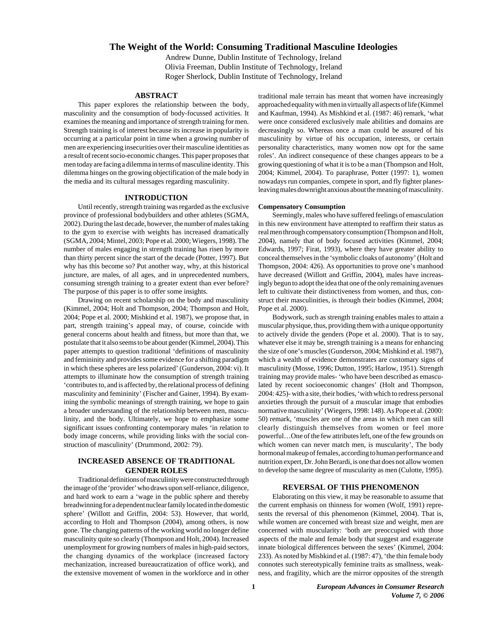### **The Weight of the World: Consuming Traditional Masculine Ideologies**

Andrew Dunne, Dublin Institute of Technology, Ireland Olivia Freeman, Dublin Institute of Technology, Ireland Roger Sherlock, Dublin Institute of Technology, Ireland

#### **ABSTRACT**

This paper explores the relationship between the body, masculinity and the consumption of body-focussed activities. It examines the meaning and importance of strength training for men. Strength training is of interest because its increase in popularity is occurring at a particular point in time when a growing number of men are experiencing insecurities over their masculine identities as a result of recent socio-economic changes. This paper proposes that men today are facing a dilemma in terms of masculine identity. This dilemma hinges on the growing objectification of the male body in the media and its cultural messages regarding masculinity.

#### **INTRODUCTION**

Until recently, strength training was regarded as the exclusive province of professional bodybuilders and other athletes (SGMA, 2002). During the last decade, however, the number of males taking to the gym to exercise with weights has increased dramatically (SGMA, 2004; Mintel, 2003; Pope et al. 2000; Wiegers, 1998). The number of males engaging in strength training has risen by more than thirty percent since the start of the decade (Potter, 1997). But why has this become so? Put another way, why, at this historical juncture, are males, of all ages, and in unprecedented numbers, consuming strength training to a greater extent than ever before? The purpose of this paper is to offer some insights.

Drawing on recent scholarship on the body and masculinity (Kimmel, 2004; Holt and Thompson, 2004; Thompson and Holt, 2004; Pope et al. 2000; Mishkind et al. 1987), we propose that, in part, strength training's appeal may, of course, coincide with general concerns about health and fitness, but more than that, we postulate that it also seems to be about gender (Kimmel, 2004). This paper attempts to question traditional 'definitions of masculinity and femininity and provides some evidence for a shifting paradigm in which these spheres are less polarized' (Gunderson, 2004: vi). It attempts to illuminate how the consumption of strength training 'contributes to, and is affected by, the relational process of defining masculinity and femininity' (Fischer and Gainer, 1994). By examining the symbolic meanings of strength training, we hope to gain a broader understanding of the relationship between men, masculinity, and the body. Ultimately, we hope to emphasize some significant issues confronting contemporary males 'in relation to body image concerns, while providing links with the social construction of masculinity' (Drummond, 2002: 79).

#### **INCREASED ABSENCE OF TRADITIONAL GENDER ROLES**

Traditional definitions of masculinity were constructed through the image of the 'provider' who draws upon self-reliance, diligence, and hard work to earn a 'wage in the public sphere and thereby breadwinning for a dependent nuclear family located in the domestic sphere' (Willott and Griffin, 2004: 53). However, that world, according to Holt and Thompson (2004), among others, is now gone. The changing patterns of the working world no longer define masculinity quite so clearly (Thompson and Holt, 2004). Increased unemployment for growing numbers of males in high-paid sectors, the changing dynamics of the workplace (increased factory mechanization, increased bureaucratization of office work), and the extensive movement of women in the workforce and in other

traditional male terrain has meant that women have increasingly approached equality with men in virtually all aspects of life (Kimmel and Kaufman, 1994). As Mishkind et al. (1987: 46) remark, 'what were once considered exclusively male abilities and domains are decreasingly so. Whereas once a man could be assured of his masculinity by virtue of his occupation, interests, or certain personality characteristics, many women now opt for the same roles'. An indirect consequence of these changes appears to be a growing questioning of what it is to be a man (Thompson and Holt, 2004; Kimmel, 2004). To paraphrase, Potter (1997: 1), women nowadays run companies, compete in sport, and fly fighter planesleaving males downright anxious about the meaning of masculinity.

#### **Compensatory Consumption**

Seemingly, males who have suffered feelings of emasculation in this new environment have attempted to reaffirm their status as real men through compensatory consumption (Thompson and Holt, 2004), namely that of body focused activities (Kimmel, 2004; Edwards, 1997; Firat, 1993), where they have greater ability to conceal themselves in the 'symbolic cloaks of autonomy' (Holt and Thompson, 2004: 426). As opportunities to prove one's manhood have decreased (Willott and Griffin, 2004), males have increasingly begun to adopt the idea that one of the only remaining avenues left to cultivate their distinctiveness from women, and thus, construct their masculinities, is through their bodies (Kimmel, 2004; Pope et al. 2000).

Bodywork, such as strength training enables males to attain a muscular physique, thus, providing them with a unique opportunity to actively divide the genders (Pope et al. 2000). That is to say, whatever else it may be, strength training is a means for enhancing the size of one's muscles (Gunderson, 2004; Mishkind et al. 1987), which a wealth of evidence demonstrates are customary signs of masculinity (Mosse, 1996; Dutton, 1995; Harlow, 1951). Strength training may provide males- 'who have been described as emasculated by recent socioeconomic changes' (Holt and Thompson, 2004: 425)- with a site, their bodies, 'with which to redress personal anxieties through the pursuit of a muscular image that embodies normative masculinity' (Wiegers, 1998: 148). As Pope et al. (2000: 50) remark, 'muscles are one of the areas in which men can still clearly distinguish themselves from women or feel more powerful…One of the few attributes left, one of the few grounds on which women can never match men, is muscularity', The body hormonal makeup of females, according to human performance and nutrition expert, Dr. John Berardi, is one that does not allow women to develop the same degree of muscularity as men (Culotte, 1995).

#### **REVERSAL OF THIS PHENOMENON**

Elaborating on this view, it may be reasonable to assume that the current emphasis on thinness for women (Wolf, 1991) represents the reversal of this phenomenon (Kimmel, 2004). That is, while women are concerned with breast size and weight, men are concerned with muscularity: 'both are preoccupied with those aspects of the male and female body that suggest and exaggerate innate biological differences between the sexes' (Kimmel, 2004: 233). As noted by Mishkind et al. (1987: 47), 'the thin female body connotes such stereotypically feminine traits as smallness, weakness, and fragility, which are the mirror opposites of the strength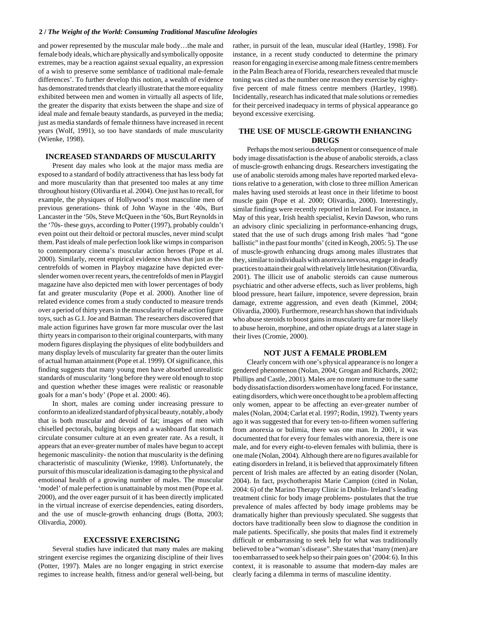#### **2 /** *The Weight of the World: Consuming Traditional Masculine Ideologies*

and power represented by the muscular male body…the male and female body ideals, which are physically and symbolically opposite extremes, may be a reaction against sexual equality, an expression of a wish to preserve some semblance of traditional male-female differences'. To further develop this notion, a wealth of evidence has demonstrated trends that clearly illustrate that the more equality exhibited between men and women in virtually all aspects of life, the greater the disparity that exists between the shape and size of ideal male and female beauty standards, as purveyed in the media; just as media standards of female thinness have increased in recent years (Wolf, 1991), so too have standards of male muscularity (Wienke, 1998).

#### **INCREASED STANDARDS OF MUSCULARITY**

Present day males who look at the major mass media are exposed to a standard of bodily attractiveness that has less body fat and more muscularity than that presented too males at any time throughout history (Olivardia et al. 2004). One just has to recall, for example, the physiques of Hollywood's most masculine men of previous generations- think of John Wayne in the '40s, Burt Lancaster in the '50s, Steve McQueen in the '60s, Burt Reynolds in the '70s- these guys, according to Potter (1997), probably couldn't even point out their deltoid or pectoral muscles, never mind sculpt them. Past ideals of male perfection look like wimps in comparison to contemporary cinema's muscular action heroes (Pope et al. 2000). Similarly, recent empirical evidence shows that just as the centrefolds of women in Playboy magazine have depicted everslender women over recent years, the centrefolds of men in Playgirl magazine have also depicted men with lower percentages of body fat and greater muscularity (Pope et al. 2000). Another line of related evidence comes from a study conducted to measure trends over a period of thirty years in the muscularity of male action figure toys, such as G.I. Joe and Batman. The researchers discovered that male action figurines have grown far more muscular over the last thirty years in comparison to their original counterparts, with many modern figures displaying the physiques of elite bodybuilders and many display levels of muscularity far greater than the outer limits of actual human attainment (Pope et al. 1999). Of significance, this finding suggests that many young men have absorbed unrealistic standards of muscularity 'long before they were old enough to stop and question whether these images were realistic or reasonable goals for a man's body' (Pope et al. 2000: 46).

In short, males are coming under increasing pressure to conform to an idealized standard of physical beauty, notably, a body that is both muscular and devoid of fat; images of men with chiselled pectorals, bulging biceps and a washboard flat stomach circulate consumer culture at an even greater rate. As a result, it appears that an ever-greater number of males have begun to accept hegemonic masculinity- the notion that muscularity is the defining characteristic of masculinity (Wienke, 1998). Unfortunately, the pursuit of this muscular idealization is damaging to the physical and emotional health of a growing number of males. The muscular 'model' of male perfection is unattainable by most men (Pope et al. 2000), and the over eager pursuit of it has been directly implicated in the virtual increase of exercise dependencies, eating disorders, and the use of muscle-growth enhancing drugs (Botta, 2003; Olivardia, 2000).

#### **EXCESSIVE EXERCISING**

Several studies have indicated that many males are making stringent exercise regimes the organizing discipline of their lives (Potter, 1997). Males are no longer engaging in strict exercise regimes to increase health, fitness and/or general well-being, but

rather, in pursuit of the lean, muscular ideal (Hartley, 1998). For instance, in a recent study conducted to determine the primary reason for engaging in exercise among male fitness centre members in the Palm Beach area of Florida, researchers revealed that muscle toning was cited as the number one reason they exercise by eightyfive percent of male fitness centre members (Hartley, 1998). Incidentally, research has indicated that male solutions or remedies for their perceived inadequacy in terms of physical appearance go beyond excessive exercising.

### **THE USE OF MUSCLE-GROWTH ENHANCING DRUGS**

Perhaps the most serious development or consequence of male body image dissatisfaction is the abuse of anabolic steroids, a class of muscle-growth enhancing drugs. Researchers investigating the use of anabolic steroids among males have reported marked elevations relative to a generation, with close to three million American males having used steroids at least once in their lifetime to boost muscle gain (Pope et al. 2000; Olivardia, 2000). Interestingly, similar findings were recently reported in Ireland. For instance, in May of this year, Irish health specialist, Kevin Dawson, who runs an advisory clinic specializing in performance-enhancing drugs, stated that the use of such drugs among Irish males 'had "gone ballistic" in the past four months' (cited in Keogh, 2005: 5). The use of muscle-growth enhancing drugs among males illustrates that they, similar to individuals with anorexia nervosa, engage in deadly practices to attain their goal with relatively little hesitation (Olivardia, 2001). The illicit use of anabolic steroids can cause numerous psychiatric and other adverse effects, such as liver problems, high blood pressure, heart failure, impotence, severe depression, brain damage, extreme aggression, and even death (Kimmel, 2004; Olivardia, 2000). Furthermore, research has shown that individuals who abuse steroids to boost gains in muscularity are far more likely to abuse heroin, morphine, and other opiate drugs at a later stage in their lives (Cromie, 2000).

#### **NOT JUST A FEMALE PROBLEM**

Clearly concern with one's physical appearance is no longer a gendered phenomenon (Nolan, 2004; Grogan and Richards, 2002; Phillips and Castle, 2001). Males are no more immune to the same body dissatisfaction disorders women have long faced. For instance, eating disorders, which were once thought to be a problem affecting only women, appear to be affecting an ever-greater number of males (Nolan, 2004; Carlat et al. 1997; Rodin, 1992). Twenty years ago it was suggested that for every ten-to-fifteen women suffering from anorexia or bulimia, there was one man. In 2001, it was documented that for every four females with anorexia, there is one male, and for every eight-to-eleven females with bulimia, there is one male (Nolan, 2004). Although there are no figures available for eating disorders in Ireland, it is believed that approximately fifteen percent of Irish males are affected by an eating disorder (Nolan, 2004). In fact, psychotherapist Marie Campion (cited in Nolan, 2004: 6) of the Marino Therapy Clinic in Dublin- Ireland's leading treatment clinic for body image problems- postulates that the true prevalence of males affected by body image problems may be dramatically higher than previously speculated. She suggests that doctors have traditionally been slow to diagnose the condition in male patients. Specifically, she posits that males find it extremely difficult or embarrassing to seek help for what was traditionally believed to be a "woman's disease". She states that 'many (men) are too embarrassed to seek help so their pain goes on' (2004: 6). In this context, it is reasonable to assume that modern-day males are clearly facing a dilemma in terms of masculine identity.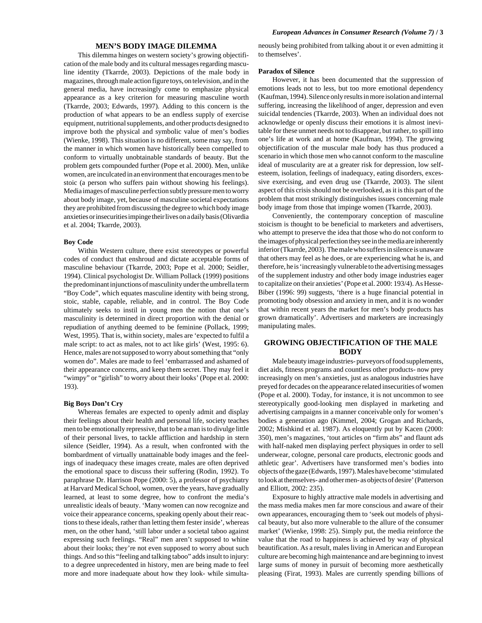#### **MEN'S BODY IMAGE DILEMMA**

This dilemma hinges on western society's growing objectification of the male body and its cultural messages regarding masculine identity (Tkarrde, 2003). Depictions of the male body in magazines, through male action figure toys, on television, and in the general media, have increasingly come to emphasize physical appearance as a key criterion for measuring masculine worth (Tkarrde, 2003; Edwards, 1997). Adding to this concern is the production of what appears to be an endless supply of exercise equipment, nutritional supplements, and other products designed to improve both the physical and symbolic value of men's bodies (Wienke, 1998). This situation is no different, some may say, from the manner in which women have historically been compelled to conform to virtually unobtainable standards of beauty. But the problem gets compounded further (Pope et al. 2000). Men, unlike women, are inculcated in an environment that encourages men to be stoic (a person who suffers pain without showing his feelings). Media images of masculine perfection subtly pressure men to worry about body image, yet, because of masculine societal expectations they are prohibited from discussing the degree to which body image anxieties or insecurities impinge their lives on a daily basis (Olivardia et al. 2004; Tkarrde, 2003).

#### **Boy Code**

Within Western culture, there exist stereotypes or powerful codes of conduct that enshroud and dictate acceptable forms of masculine behaviour (Tkarrde, 2003; Pope et al. 2000; Seidler, 1994). Clinical psychologist Dr. William Pollack (1999) positions the predominant injunctions of masculinity under the umbrella term "Boy Code", which equates masculine identity with being strong, stoic, stable, capable, reliable, and in control. The Boy Code ultimately seeks to instil in young men the notion that one's masculinity is determined in direct proportion with the denial or repudiation of anything deemed to be feminine (Pollack, 1999; West, 1995). That is, within society, males are 'expected to fulfil a male script: to act as males, not to act like girls' (West, 1995: 6). Hence, males are not supposed to worry about something that "only women do". Males are made to feel 'embarrassed and ashamed of their appearance concerns, and keep them secret. They may feel it "wimpy" or "girlish" to worry about their looks' (Pope et al. 2000: 193).

#### **Big Boys Don't Cry**

Whereas females are expected to openly admit and display their feelings about their health and personal life, society teaches men to be emotionally repressive, that to be a man is to divulge little of their personal lives, to tackle affliction and hardship in stern silence (Seidler, 1994). As a result, when confronted with the bombardment of virtually unattainable body images and the feelings of inadequacy these images create, males are often deprived the emotional space to discuss their suffering (Rodin, 1992). To paraphrase Dr. Harrison Pope (2000: 5), a professor of psychiatry at Harvard Medical School, women, over the years, have gradually learned, at least to some degree, how to confront the media's unrealistic ideals of beauty. 'Many women can now recognize and voice their appearance concerns, speaking openly about their reactions to these ideals, rather than letting them fester inside', whereas men, on the other hand, 'still labor under a societal taboo against expressing such feelings. "Real" men aren't supposed to whine about their looks; they're not even supposed to worry about such things. And so this "feeling and talking taboo" adds insult to injury: to a degree unprecedented in history, men are being made to feel more and more inadequate about how they look- while simultaneously being prohibited from talking about it or even admitting it to themselves'.

#### **Paradox of Silence**

However, it has been documented that the suppression of emotions leads not to less, but too more emotional dependency (Kaufman, 1994). Silence only results in more isolation and internal suffering, increasing the likelihood of anger, depression and even suicidal tendencies (Tkarrde, 2003). When an individual does not acknowledge or openly discuss their emotions it is almost inevitable for these unmet needs not to disappear, but rather, to spill into one's life at work and at home (Kaufman, 1994). The growing objectification of the muscular male body has thus produced a scenario in which those men who cannot conform to the masculine ideal of muscularity are at a greater risk for depression, low selfesteem, isolation, feelings of inadequacy, eating disorders, excessive exercising, and even drug use (Tkarrde, 2003). The silent aspect of this crisis should not be overlooked, as it is this part of the problem that most strikingly distinguishes issues concerning male body image from those that impinge women (Tkarrde, 2003).

Conveniently, the contemporary conception of masculine stoicism is thought to be beneficial to marketers and advertisers, who attempt to preserve the idea that those who do not conform to the images of physical perfection they see in the media are inherently inferior (Tkarrde, 2003). The male who suffers in silence is unaware that others may feel as he does, or are experiencing what he is, and therefore, he is 'increasingly vulnerable to the advertising messages of the supplement industry and other body image industries eager to capitalize on their anxieties' (Pope et al. 2000: 193/4). As Hesse-Biber (1996: 99) suggests, 'there is a huge financial potential in promoting body obsession and anxiety in men, and it is no wonder that within recent years the market for men's body products has grown dramatically'. Advertisers and marketers are increasingly manipulating males.

#### **GROWING OBJECTIFICATION OF THE MALE BODY**

Male beauty image industries- purveyors of food supplements, diet aids, fitness programs and countless other products- now prey increasingly on men's anxieties, just as analogous industries have preyed for decades on the appearance related insecurities of women (Pope et al. 2000). Today, for instance, it is not uncommon to see stereotypically good-looking men displayed in marketing and advertising campaigns in a manner conceivable only for women's bodies a generation ago (Kimmel, 2004; Grogan and Richards, 2002; Mishkind et al. 1987). As eloquently put by Kacen (2000: 350), men's magazines, 'tout articles on "firm abs" and flaunt ads with half-naked men displaying perfect physiques in order to sell underwear, cologne, personal care products, electronic goods and athletic gear'. Advertisers have transformed men's bodies into objects of the gaze (Edwards, 1997). Males have become 'stimulated to look at themselves- and other men- as objects of desire' (Patterson and Elliott, 2002: 235).

Exposure to highly attractive male models in advertising and the mass media makes men far more conscious and aware of their own appearances, encouraging them to 'seek out models of physical beauty, but also more vulnerable to the allure of the consumer market' (Wienke, 1998: 25). Simply put, the media reinforce the value that the road to happiness is achieved by way of physical beautification. As a result, males living in American and European culture are becoming high maintenance and are beginning to invest large sums of money in pursuit of becoming more aesthetically pleasing (Firat, 1993). Males are currently spending billions of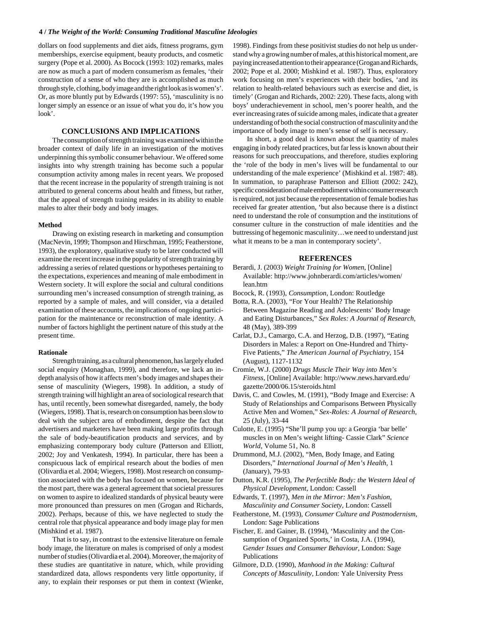#### **4 /** *The Weight of the World: Consuming Traditional Masculine Ideologies*

dollars on food supplements and diet aids, fitness programs, gym memberships, exercise equipment, beauty products, and cosmetic surgery (Pope et al. 2000). As Bocock (1993: 102) remarks, males are now as much a part of modern consumerism as females, 'their construction of a sense of who they are is accomplished as much through style, clothing, body image and the right look as is women's'. Or, as more bluntly put by Edwards (1997: 55), 'masculinity is no longer simply an essence or an issue of what you do, it's how you look'.

#### **CONCLUSIONS AND IMPLICATIONS**

The consumption of strength training was examined within the broader context of daily life in an investigation of the motives underpinning this symbolic consumer behaviour. We offered some insights into why strength training has become such a popular consumption activity among males in recent years. We proposed that the recent increase in the popularity of strength training is not attributed to general concerns about health and fitness, but rather, that the appeal of strength training resides in its ability to enable males to alter their body and body images.

#### **Method**

Drawing on existing research in marketing and consumption (MacNevin, 1999; Thompson and Hirschman, 1995; Featherstone, 1993), the exploratory, qualitative study to be later conducted will examine the recent increase in the popularity of strength training by addressing a series of related questions or hypotheses pertaining to the expectations, experiences and meaning of male embodiment in Western society. It will explore the social and cultural conditions surrounding men's increased consumption of strength training, as reported by a sample of males, and will consider, via a detailed examination of these accounts, the implications of ongoing participation for the maintenance or reconstruction of male identity. A number of factors highlight the pertinent nature of this study at the present time.

#### **Rationale**

Strength training, as a cultural phenomenon, has largely eluded social enquiry (Monaghan, 1999), and therefore, we lack an indepth analysis of how it affects men's body images and shapes their sense of masculinity (Wiegers, 1998). In addition, a study of strength training will highlight an area of sociological research that has, until recently, been somewhat disregarded, namely, the body (Wiegers, 1998). That is, research on consumption has been slow to deal with the subject area of embodiment, despite the fact that advertisers and marketers have been making large profits through the sale of body-beautification products and services, and by emphasizing contemporary body culture (Patterson and Elliott, 2002; Joy and Venkatesh, 1994). In particular, there has been a conspicuous lack of empirical research about the bodies of men (Olivardia et al. 2004; Wiegers, 1998). Most research on consumption associated with the body has focused on women, because for the most part, there was a general agreement that societal pressures on women to aspire to idealized standards of physical beauty were more pronounced than pressures on men (Grogan and Richards, 2002). Perhaps, because of this, we have neglected to study the central role that physical appearance and body image play for men (Mishkind et al. 1987).

That is to say, in contrast to the extensive literature on female body image, the literature on males is comprised of only a modest number of studies (Olivardia et al. 2004). Moreover, the majority of these studies are quantitative in nature, which, while providing standardized data, allows respondents very little opportunity, if any, to explain their responses or put them in context (Wienke,

1998). Findings from these positivist studies do not help us understand why a growing number of males, at this historical moment, are paying increased attention to their appearance (Grogan and Richards, 2002; Pope et al. 2000; Mishkind et al. 1987). Thus, exploratory work focusing on men's experiences with their bodies, 'and its relation to health-related behaviours such as exercise and diet, is timely' (Grogan and Richards, 2002: 220). These facts, along with boys' underachievement in school, men's poorer health, and the ever increasing rates of suicide among males, indicate that a greater understanding of both the social construction of masculinity and the importance of body image to men's sense of self is necessary.

In short, a good deal is known about the quantity of males engaging in body related practices, but far less is known about their reasons for such preoccupations, and therefore, studies exploring the 'role of the body in men's lives will be fundamental to our understanding of the male experience' (Mishkind et al. 1987: 48). In summation, to paraphrase Patterson and Elliott (2002: 242), specific consideration of male embodiment within consumer research is required, not just because the representation of female bodies has received far greater attention, 'but also because there is a distinct need to understand the role of consumption and the institutions of consumer culture in the construction of male identities and the buttressing of hegemonic masculinity…we need to understand just what it means to be a man in contemporary society'.

#### **REFERENCES**

- Berardi, J. (2003) *Weight Training for Women*, [Online] Available: http://www.johnberardi.com/articles/women/ lean.htm
- Bocock, R. (1993), *Consumption*, London: Routledge
- Botta, R.A. (2003), "For Your Health? The Relationship Between Magazine Reading and Adolescents' Body Image and Eating Disturbances," *Sex Roles: A Journal of Research*, 48 (May), 389-399
- Carlat, D.J., Camargo, C.A. and Herzog, D.B. (1997), "Eating Disorders in Males: a Report on One-Hundred and Thirty-Five Patients," *The American Journal of Psychiatry*, 154 (August), 1127-1132
- Cromie, W.J. (2000) *Drugs Muscle Their Way into Men's Fitness*, [Online] Available: http://www.news.harvard.edu/ gazette/2000/06.15/steroids.html
- Davis, C. and Cowles, M. (1991), "Body Image and Exercise: A Study of Relationships and Comparisons Between Physically Active Men and Women," *Sex-Roles: A Journal of Research,* 25 (July), 33-44
- Culotte, E. (1995) "She'll pump you up: a Georgia 'bar belle' muscles in on Men's weight lifting- Cassie Clark" *Science World*, Volume 51, No. 8
- Drummond, M.J. (2002), "Men, Body Image, and Eating Disorders," *International Journal of Men's Health*, 1 (January), 79-93
- Dutton, K.R. (1995), *The Perfectible Body: the Western Ideal of Physical Development*, London: Cassell
- Edwards, T. (1997), *Men in the Mirror: Men's Fashion, Masculinity and Consumer Society,* London: Cassell
- Featherstone, M. (1993), *Consumer Culture and Postmodernism*, London: Sage Publications
- Fischer, E. and Gainer, B. (1994), 'Masculinity and the Consumption of Organized Sports,' in Costa, J.A. (1994), G*ender Issues and Consumer Behaviour,* London: Sage Publications
- Gilmore, D.D. (1990), *Manhood in the Making: Cultural Concepts of Masculinity,* London: Yale University Press